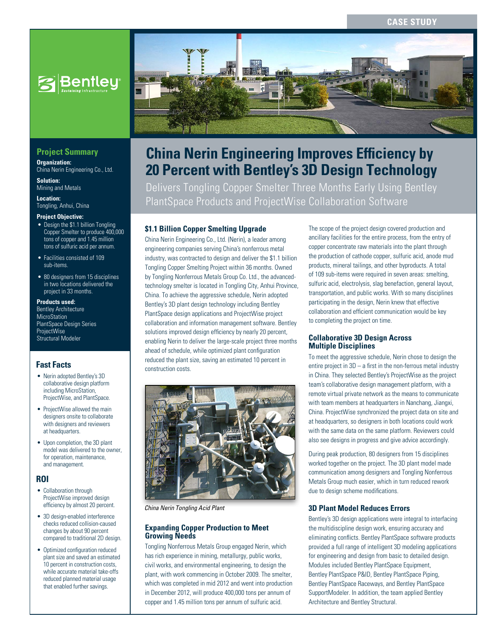## **Case Study**



## **Project Summary**

**Organization:**  China Nerin Engineering Co., Ltd.

**Solution: Mining and Metals** 

**Location:**  Tongling, Anhui, China

#### **Project Objective:**

- Design the \$1.1 billion Tongling Copper Smelter to produce 400,000 tons of copper and 1.45 million tons of sulfuric acid per annum.
- Facilities consisted of 109 sub-items.
- 80 designers from 15 disciplines in two locations delivered the project in 33 months.

#### **Products used:**

Bentley Architecture **MicroStation** PlantSpace Design Series **ProjectWise** Structural Modeler

## **Fast Facts**

- Nerin adopted Bentley's 3D collaborative design platform including MicroStation, ProjectWise, and PlantSpace.
- ProjectWise allowed the main designers onsite to collaborate with designers and reviewers at headquarters.
- Upon completion, the 3D plant model was delivered to the owner, for operation, maintenance, and management.

#### **ROI**

- Collaboration through ProjectWise improved design efficiency by almost 20 percent.
- 3D design-enabled interference checks reduced collision-caused changes by about 90 percent compared to traditional 2D design.
- Optimized configuration reduced plant size and saved an estimated .<br>10 percent in construction costs, while accurate material take-offs reduced planned material usage that enabled further savings.



# **China Nerin Engineering Improves Efficiency by 20 Percent with Bentley's 3D Design Technology**

Delivers Tongling Copper Smelter Three Months Early Using Bentley PlantSpace Products and ProjectWise Collaboration Software

## **\$1.1 Billion Copper Smelting Upgrade**

China Nerin Engineering Co., Ltd. (Nerin), a leader among engineering companies serving China's nonferrous metal industry, was contracted to design and deliver the \$1.1 billion Tongling Copper Smelting Project within 36 months. Owned by Tongling Nonferrous Metals Group Co. Ltd., the advancedtechnology smelter is located in Tongling City, Anhui Province, China. To achieve the aggressive schedule, Nerin adopted Bentley's 3D plant design technology including Bentley PlantSpace design applications and ProjectWise project collaboration and information management software. Bentley solutions improved design efficiency by nearly 20 percent, enabling Nerin to deliver the large-scale project three months ahead of schedule, while optimized plant configuration reduced the plant size, saving an estimated 10 percent in construction costs.



*China Nerin Tongling Acid Plant*

#### **Expanding Copper Production to Meet Growing Needs**

Tongling Nonferrous Metals Group engaged Nerin, which has rich experience in mining, metallurgy, public works, civil works, and environmental engineering, to design the plant, with work commencing in October 2009. The smelter, which was completed in mid 2012 and went into production in December 2012, will produce 400,000 tons per annum of copper and 1.45 million tons per annum of sulfuric acid.

The scope of the project design covered production and ancillary facilities for the entire process, from the entry of copper concentrate raw materials into the plant through the production of cathode copper, sulfuric acid, anode mud products, mineral tailings, and other byproducts. A total of 109 sub-items were required in seven areas: smelting, sulfuric acid, electrolysis, slag benefaction, general layout, transportation, and public works. With so many disciplines participating in the design, Nerin knew that effective collaboration and efficient communication would be key to completing the project on time.

### **Collaborative 3D Design Across Multiple Disciplines**

To meet the aggressive schedule, Nerin chose to design the entire project in  $3D - a$  first in the non-ferrous metal industry in China. They selected Bentley's ProjectWise as the project team's collaborative design management platform, with a remote virtual private network as the means to communicate with team members at headquarters in Nanchang, Jiangxi, China. ProjectWise synchronized the project data on site and at headquarters, so designers in both locations could work with the same data on the same platform. Reviewers could also see designs in progress and give advice accordingly.

During peak production, 80 designers from 15 disciplines worked together on the project. The 3D plant model made communication among designers and Tongling Nonferrous Metals Group much easier, which in turn reduced rework due to design scheme modifications.

## **3D Plant Model Reduces Errors**

Bentley's 3D design applications were integral to interfacing the multidiscipline design work, ensuring accuracy and eliminating conflicts. Bentley PlantSpace software products provided a full range of intelligent 3D modeling applications for engineering and design from basic to detailed design. Modules included Bentley PlantSpace Equipment, Bentley PlantSpace P&ID, Bentley PlantSpace Piping, Bentley PlantSpace Raceways, and Bentley PlantSpace SupportModeler. In addition, the team applied Bentley Architecture and Bentley Structural.